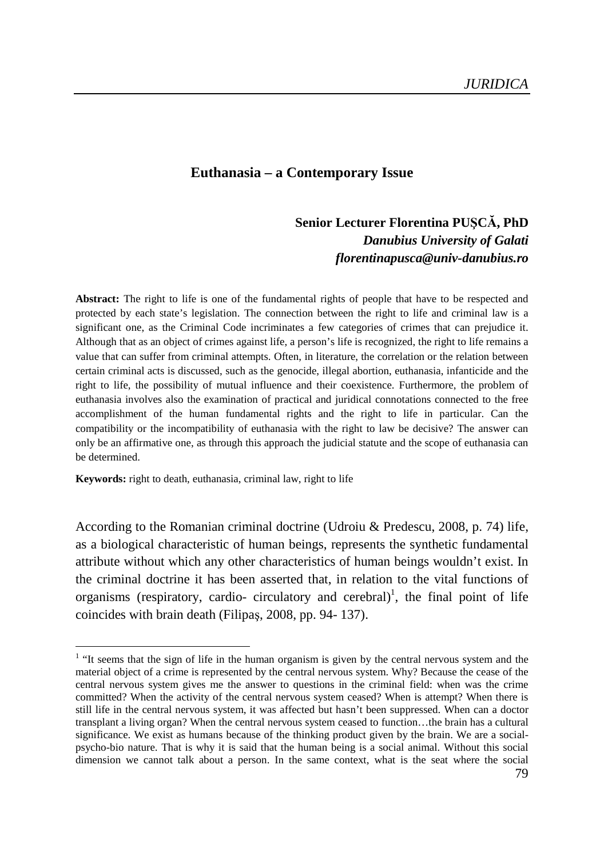### **Euthanasia – a Contemporary Issue**

# **Senior Lecturer Florentina PUŞCĂ, PhD**  *Danubius University of Galati florentinapusca@univ-danubius.ro*

**Abstract:** The right to life is one of the fundamental rights of people that have to be respected and protected by each state's legislation. The connection between the right to life and criminal law is a significant one, as the Criminal Code incriminates a few categories of crimes that can prejudice it. Although that as an object of crimes against life, a person's life is recognized, the right to life remains a value that can suffer from criminal attempts. Often, in literature, the correlation or the relation between certain criminal acts is discussed, such as the genocide, illegal abortion, euthanasia, infanticide and the right to life, the possibility of mutual influence and their coexistence. Furthermore, the problem of euthanasia involves also the examination of practical and juridical connotations connected to the free accomplishment of the human fundamental rights and the right to life in particular. Can the compatibility or the incompatibility of euthanasia with the right to law be decisive? The answer can only be an affirmative one, as through this approach the judicial statute and the scope of euthanasia can be determined.

**Keywords:** right to death, euthanasia, criminal law, right to life

 $\overline{a}$ 

According to the Romanian criminal doctrine (Udroiu & Predescu, 2008, p. 74) life, as a biological characteristic of human beings, represents the synthetic fundamental attribute without which any other characteristics of human beings wouldn't exist. In the criminal doctrine it has been asserted that, in relation to the vital functions of organisms (respiratory, cardio- circulatory and cerebral)<sup>1</sup>, the final point of life coincides with brain death (Filipaş, 2008, pp. 94- 137).

 $<sup>1</sup>$  "It seems that the sign of life in the human organism is given by the central nervous system and the</sup> material object of a crime is represented by the central nervous system. Why? Because the cease of the central nervous system gives me the answer to questions in the criminal field: when was the crime committed? When the activity of the central nervous system ceased? When is attempt? When there is still life in the central nervous system, it was affected but hasn't been suppressed. When can a doctor transplant a living organ? When the central nervous system ceased to function…the brain has a cultural significance. We exist as humans because of the thinking product given by the brain. We are a socialpsycho-bio nature. That is why it is said that the human being is a social animal. Without this social dimension we cannot talk about a person. In the same context, what is the seat where the social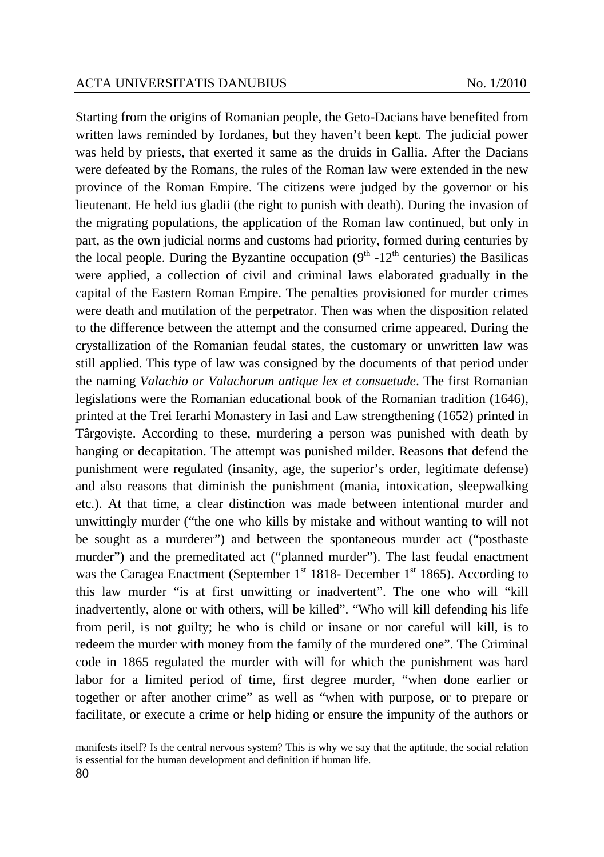Starting from the origins of Romanian people, the Geto-Dacians have benefited from written laws reminded by Iordanes, but they haven't been kept. The judicial power was held by priests, that exerted it same as the druids in Gallia. After the Dacians were defeated by the Romans, the rules of the Roman law were extended in the new province of the Roman Empire. The citizens were judged by the governor or his lieutenant. He held ius gladii (the right to punish with death). During the invasion of the migrating populations, the application of the Roman law continued, but only in part, as the own judicial norms and customs had priority, formed during centuries by the local people. During the Byzantine occupation  $(9<sup>th</sup> -12<sup>th</sup>$  centuries) the Basilicas were applied, a collection of civil and criminal laws elaborated gradually in the capital of the Eastern Roman Empire. The penalties provisioned for murder crimes were death and mutilation of the perpetrator. Then was when the disposition related to the difference between the attempt and the consumed crime appeared. During the crystallization of the Romanian feudal states, the customary or unwritten law was still applied. This type of law was consigned by the documents of that period under the naming *Valachio or Valachorum antique lex et consuetude*. The first Romanian legislations were the Romanian educational book of the Romanian tradition (1646), printed at the Trei Ierarhi Monastery in Iasi and Law strengthening (1652) printed in Târgovişte. According to these, murdering a person was punished with death by hanging or decapitation. The attempt was punished milder. Reasons that defend the punishment were regulated (insanity, age, the superior's order, legitimate defense) and also reasons that diminish the punishment (mania, intoxication, sleepwalking etc.). At that time, a clear distinction was made between intentional murder and unwittingly murder ("the one who kills by mistake and without wanting to will not be sought as a murderer") and between the spontaneous murder act ("posthaste murder") and the premeditated act ("planned murder"). The last feudal enactment was the Caragea Enactment (September  $1<sup>st</sup>$  1818- December  $1<sup>st</sup>$  1865). According to this law murder "is at first unwitting or inadvertent". The one who will "kill inadvertently, alone or with others, will be killed". "Who will kill defending his life from peril, is not guilty; he who is child or insane or nor careful will kill, is to redeem the murder with money from the family of the murdered one". The Criminal code in 1865 regulated the murder with will for which the punishment was hard labor for a limited period of time, first degree murder, "when done earlier or together or after another crime" as well as "when with purpose, or to prepare or facilitate, or execute a crime or help hiding or ensure the impunity of the authors or

 $\overline{a}$ 

manifests itself? Is the central nervous system? This is why we say that the aptitude, the social relation is essential for the human development and definition if human life.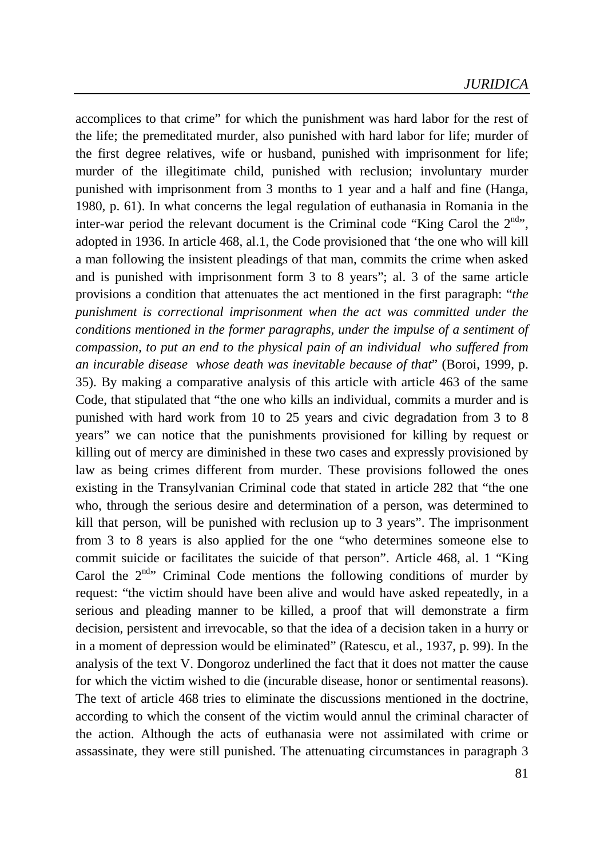accomplices to that crime" for which the punishment was hard labor for the rest of the life; the premeditated murder, also punished with hard labor for life; murder of the first degree relatives, wife or husband, punished with imprisonment for life; murder of the illegitimate child, punished with reclusion; involuntary murder punished with imprisonment from 3 months to 1 year and a half and fine (Hanga, 1980, p. 61). In what concerns the legal regulation of euthanasia in Romania in the inter-war period the relevant document is the Criminal code "King Carol the  $2^{nd}$ ", adopted in 1936. In article 468, al.1, the Code provisioned that 'the one who will kill a man following the insistent pleadings of that man, commits the crime when asked and is punished with imprisonment form 3 to 8 years"; al. 3 of the same article provisions a condition that attenuates the act mentioned in the first paragraph: "*the punishment is correctional imprisonment when the act was committed under the conditions mentioned in the former paragraphs, under the impulse of a sentiment of compassion, to put an end to the physical pain of an individual who suffered from an incurable disease whose death was inevitable because of that*" (Boroi, 1999, p. 35). By making a comparative analysis of this article with article 463 of the same Code, that stipulated that "the one who kills an individual, commits a murder and is punished with hard work from 10 to 25 years and civic degradation from 3 to 8 years" we can notice that the punishments provisioned for killing by request or killing out of mercy are diminished in these two cases and expressly provisioned by law as being crimes different from murder. These provisions followed the ones existing in the Transylvanian Criminal code that stated in article 282 that "the one who, through the serious desire and determination of a person, was determined to kill that person, will be punished with reclusion up to 3 years". The imprisonment from 3 to 8 years is also applied for the one "who determines someone else to commit suicide or facilitates the suicide of that person". Article 468, al. 1 "King Carol the  $2<sup>nd</sup>$  Criminal Code mentions the following conditions of murder by request: "the victim should have been alive and would have asked repeatedly, in a serious and pleading manner to be killed, a proof that will demonstrate a firm decision, persistent and irrevocable, so that the idea of a decision taken in a hurry or in a moment of depression would be eliminated" (Ratescu, et al., 1937, p. 99). In the analysis of the text V. Dongoroz underlined the fact that it does not matter the cause for which the victim wished to die (incurable disease, honor or sentimental reasons). The text of article 468 tries to eliminate the discussions mentioned in the doctrine, according to which the consent of the victim would annul the criminal character of the action. Although the acts of euthanasia were not assimilated with crime or assassinate, they were still punished. The attenuating circumstances in paragraph 3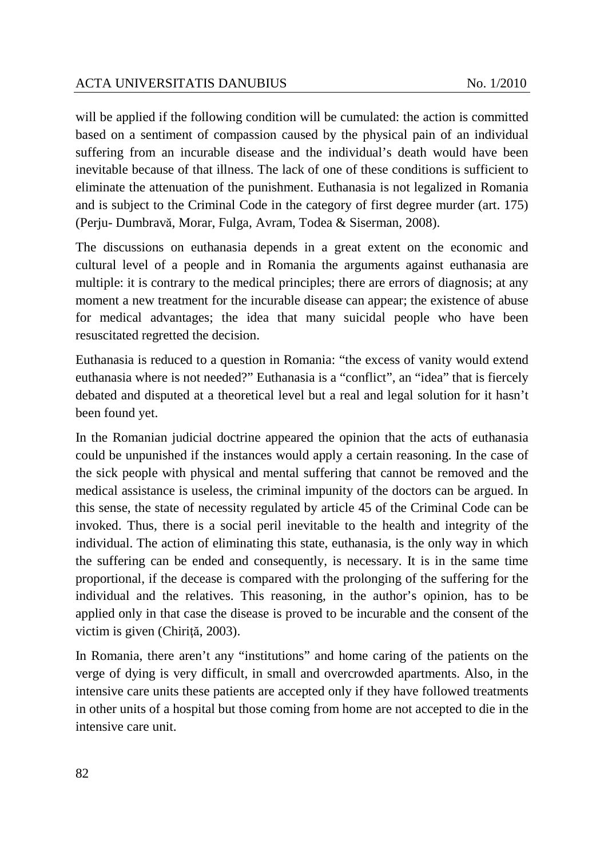will be applied if the following condition will be cumulated: the action is committed based on a sentiment of compassion caused by the physical pain of an individual suffering from an incurable disease and the individual's death would have been inevitable because of that illness. The lack of one of these conditions is sufficient to eliminate the attenuation of the punishment. Euthanasia is not legalized in Romania and is subject to the Criminal Code in the category of first degree murder (art. 175) (Perju- Dumbravă, Morar, Fulga, Avram, Todea & Siserman, 2008).

The discussions on euthanasia depends in a great extent on the economic and cultural level of a people and in Romania the arguments against euthanasia are multiple: it is contrary to the medical principles; there are errors of diagnosis; at any moment a new treatment for the incurable disease can appear; the existence of abuse for medical advantages; the idea that many suicidal people who have been resuscitated regretted the decision.

Euthanasia is reduced to a question in Romania: "the excess of vanity would extend euthanasia where is not needed?" Euthanasia is a "conflict", an "idea" that is fiercely debated and disputed at a theoretical level but a real and legal solution for it hasn't been found yet.

In the Romanian judicial doctrine appeared the opinion that the acts of euthanasia could be unpunished if the instances would apply a certain reasoning. In the case of the sick people with physical and mental suffering that cannot be removed and the medical assistance is useless, the criminal impunity of the doctors can be argued. In this sense, the state of necessity regulated by article 45 of the Criminal Code can be invoked. Thus, there is a social peril inevitable to the health and integrity of the individual. The action of eliminating this state, euthanasia, is the only way in which the suffering can be ended and consequently, is necessary. It is in the same time proportional, if the decease is compared with the prolonging of the suffering for the individual and the relatives. This reasoning, in the author's opinion, has to be applied only in that case the disease is proved to be incurable and the consent of the victim is given (Chiriţă, 2003).

In Romania, there aren't any "institutions" and home caring of the patients on the verge of dying is very difficult, in small and overcrowded apartments. Also, in the intensive care units these patients are accepted only if they have followed treatments in other units of a hospital but those coming from home are not accepted to die in the intensive care unit.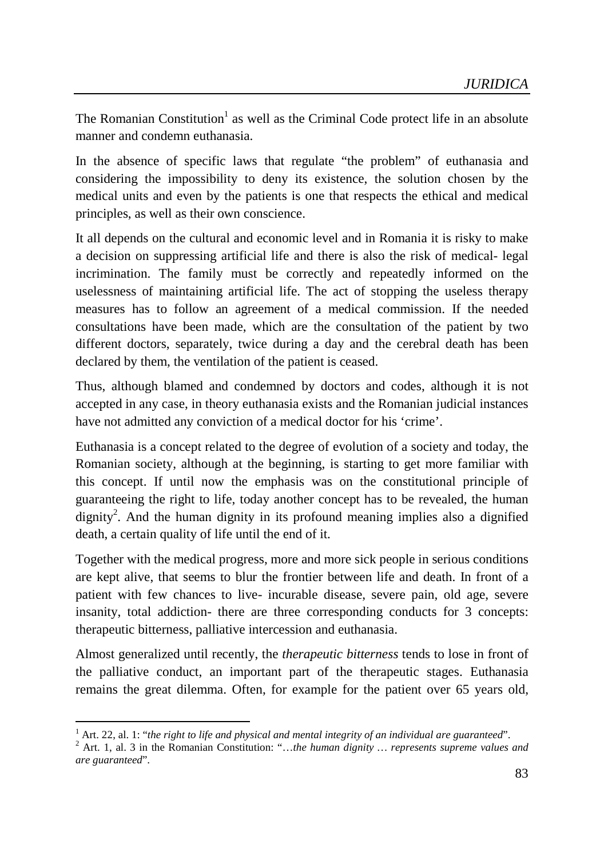The Romanian Constitution<sup>1</sup> as well as the Criminal Code protect life in an absolute manner and condemn euthanasia.

In the absence of specific laws that regulate "the problem" of euthanasia and considering the impossibility to deny its existence, the solution chosen by the medical units and even by the patients is one that respects the ethical and medical principles, as well as their own conscience.

It all depends on the cultural and economic level and in Romania it is risky to make a decision on suppressing artificial life and there is also the risk of medical- legal incrimination. The family must be correctly and repeatedly informed on the uselessness of maintaining artificial life. The act of stopping the useless therapy measures has to follow an agreement of a medical commission. If the needed consultations have been made, which are the consultation of the patient by two different doctors, separately, twice during a day and the cerebral death has been declared by them, the ventilation of the patient is ceased.

Thus, although blamed and condemned by doctors and codes, although it is not accepted in any case, in theory euthanasia exists and the Romanian judicial instances have not admitted any conviction of a medical doctor for his 'crime'.

Euthanasia is a concept related to the degree of evolution of a society and today, the Romanian society, although at the beginning, is starting to get more familiar with this concept. If until now the emphasis was on the constitutional principle of guaranteeing the right to life, today another concept has to be revealed, the human dignity<sup>2</sup>. And the human dignity in its profound meaning implies also a dignified death, a certain quality of life until the end of it.

Together with the medical progress, more and more sick people in serious conditions are kept alive, that seems to blur the frontier between life and death. In front of a patient with few chances to live- incurable disease, severe pain, old age, severe insanity, total addiction- there are three corresponding conducts for 3 concepts: therapeutic bitterness, palliative intercession and euthanasia.

Almost generalized until recently, the *therapeutic bitterness* tends to lose in front of the palliative conduct, an important part of the therapeutic stages. Euthanasia remains the great dilemma. Often, for example for the patient over 65 years old,

 $\overline{a}$ 

<sup>&</sup>lt;sup>1</sup> Art. 22, al. 1: "the right to life and physical and mental integrity of an individual are guaranteed".

<sup>2</sup> Art. 1, al. 3 in the Romanian Constitution: "…*the human dignity … represents supreme values and are guaranteed*".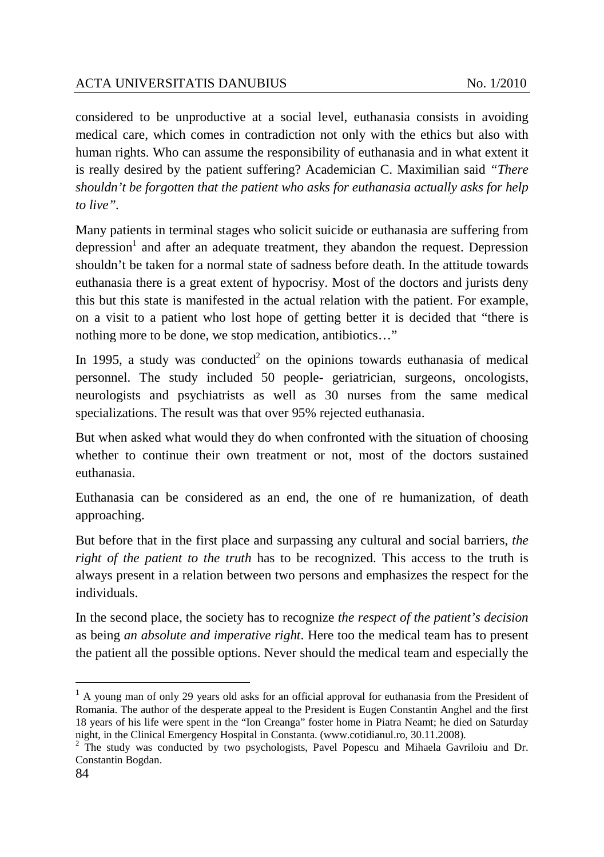considered to be unproductive at a social level, euthanasia consists in avoiding medical care, which comes in contradiction not only with the ethics but also with human rights. Who can assume the responsibility of euthanasia and in what extent it is really desired by the patient suffering? Academician C. Maximilian said *"There shouldn't be forgotten that the patient who asks for euthanasia actually asks for help to live".* 

Many patients in terminal stages who solicit suicide or euthanasia are suffering from depression<sup>1</sup> and after an adequate treatment, they abandon the request. Depression shouldn't be taken for a normal state of sadness before death. In the attitude towards euthanasia there is a great extent of hypocrisy. Most of the doctors and jurists deny this but this state is manifested in the actual relation with the patient. For example, on a visit to a patient who lost hope of getting better it is decided that "there is nothing more to be done, we stop medication, antibiotics…"

In 1995, a study was conducted<sup>2</sup> on the opinions towards euthanasia of medical personnel. The study included 50 people- geriatrician, surgeons, oncologists, neurologists and psychiatrists as well as 30 nurses from the same medical specializations. The result was that over 95% rejected euthanasia.

But when asked what would they do when confronted with the situation of choosing whether to continue their own treatment or not, most of the doctors sustained euthanasia.

Euthanasia can be considered as an end, the one of re humanization, of death approaching.

But before that in the first place and surpassing any cultural and social barriers, *the right of the patient to the truth* has to be recognized. This access to the truth is always present in a relation between two persons and emphasizes the respect for the individuals.

In the second place, the society has to recognize *the respect of the patient's decision*  as being *an absolute and imperative right*. Here too the medical team has to present the patient all the possible options. Never should the medical team and especially the

 $\overline{a}$ 

 $<sup>1</sup>$  A young man of only 29 years old asks for an official approval for euthanasia from the President of</sup> Romania. The author of the desperate appeal to the President is Eugen Constantin Anghel and the first 18 years of his life were spent in the "Ion Creanga" foster home in Piatra Neamt; he died on Saturday night, in the Clinical Emergency Hospital in Constanta. (www.cotidianul.ro, 30.11.2008).

<sup>&</sup>lt;sup>2</sup> The study was conducted by two psychologists, Pavel Popescu and Mihaela Gavriloiu and Dr. Constantin Bogdan.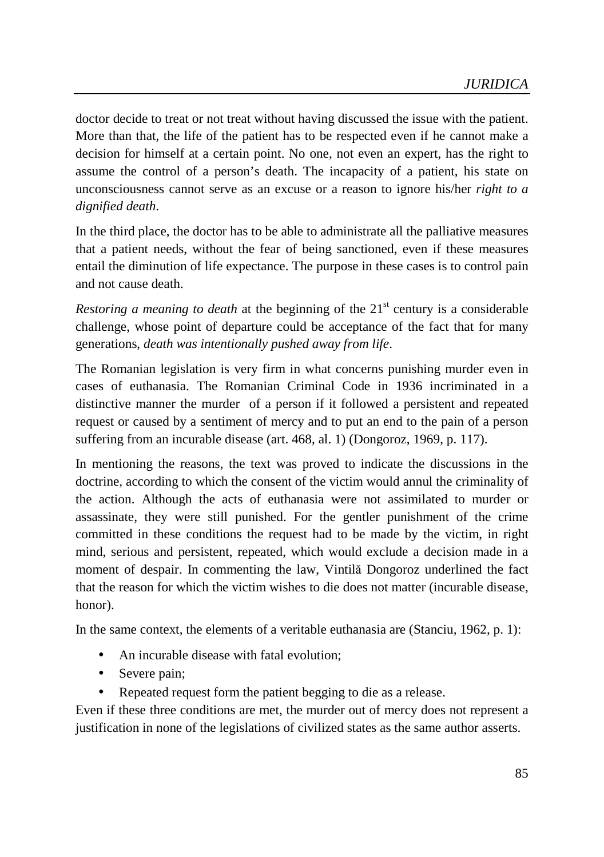doctor decide to treat or not treat without having discussed the issue with the patient. More than that, the life of the patient has to be respected even if he cannot make a decision for himself at a certain point. No one, not even an expert, has the right to assume the control of a person's death. The incapacity of a patient, his state on unconsciousness cannot serve as an excuse or a reason to ignore his/her *right to a dignified death*.

In the third place, the doctor has to be able to administrate all the palliative measures that a patient needs, without the fear of being sanctioned, even if these measures entail the diminution of life expectance. The purpose in these cases is to control pain and not cause death.

*Restoring a meaning to death* at the beginning of the  $21<sup>st</sup>$  century is a considerable challenge, whose point of departure could be acceptance of the fact that for many generations, *death was intentionally pushed away from life*.

The Romanian legislation is very firm in what concerns punishing murder even in cases of euthanasia. The Romanian Criminal Code in 1936 incriminated in a distinctive manner the murder of a person if it followed a persistent and repeated request or caused by a sentiment of mercy and to put an end to the pain of a person suffering from an incurable disease (art. 468, al. 1) (Dongoroz, 1969, p. 117).

In mentioning the reasons, the text was proved to indicate the discussions in the doctrine, according to which the consent of the victim would annul the criminality of the action. Although the acts of euthanasia were not assimilated to murder or assassinate, they were still punished. For the gentler punishment of the crime committed in these conditions the request had to be made by the victim, in right mind, serious and persistent, repeated, which would exclude a decision made in a moment of despair. In commenting the law, Vintilă Dongoroz underlined the fact that the reason for which the victim wishes to die does not matter (incurable disease, honor).

In the same context, the elements of a veritable euthanasia are (Stanciu, 1962, p. 1):

- An incurable disease with fatal evolution;
- Severe pain;
- Repeated request form the patient begging to die as a release.

Even if these three conditions are met, the murder out of mercy does not represent a justification in none of the legislations of civilized states as the same author asserts.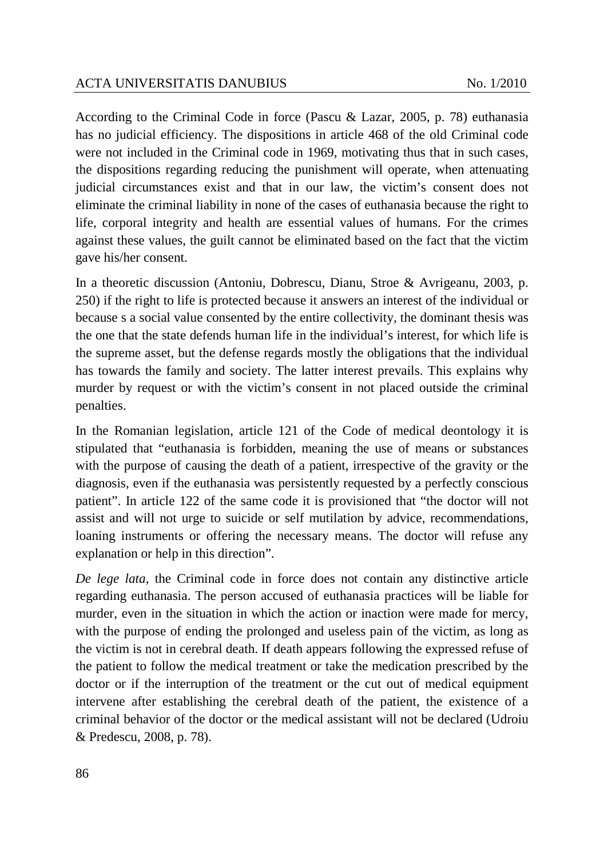According to the Criminal Code in force (Pascu & Lazar, 2005, p. 78) euthanasia has no judicial efficiency. The dispositions in article 468 of the old Criminal code were not included in the Criminal code in 1969, motivating thus that in such cases, the dispositions regarding reducing the punishment will operate, when attenuating judicial circumstances exist and that in our law, the victim's consent does not eliminate the criminal liability in none of the cases of euthanasia because the right to life, corporal integrity and health are essential values of humans. For the crimes against these values, the guilt cannot be eliminated based on the fact that the victim gave his/her consent.

In a theoretic discussion (Antoniu, Dobrescu, Dianu, Stroe & Avrigeanu, 2003, p. 250) if the right to life is protected because it answers an interest of the individual or because s a social value consented by the entire collectivity, the dominant thesis was the one that the state defends human life in the individual's interest, for which life is the supreme asset, but the defense regards mostly the obligations that the individual has towards the family and society. The latter interest prevails. This explains why murder by request or with the victim's consent in not placed outside the criminal penalties.

In the Romanian legislation, article 121 of the Code of medical deontology it is stipulated that "euthanasia is forbidden, meaning the use of means or substances with the purpose of causing the death of a patient, irrespective of the gravity or the diagnosis, even if the euthanasia was persistently requested by a perfectly conscious patient". In article 122 of the same code it is provisioned that "the doctor will not assist and will not urge to suicide or self mutilation by advice, recommendations, loaning instruments or offering the necessary means. The doctor will refuse any explanation or help in this direction".

*De lege lata*, the Criminal code in force does not contain any distinctive article regarding euthanasia. The person accused of euthanasia practices will be liable for murder, even in the situation in which the action or inaction were made for mercy, with the purpose of ending the prolonged and useless pain of the victim, as long as the victim is not in cerebral death. If death appears following the expressed refuse of the patient to follow the medical treatment or take the medication prescribed by the doctor or if the interruption of the treatment or the cut out of medical equipment intervene after establishing the cerebral death of the patient, the existence of a criminal behavior of the doctor or the medical assistant will not be declared (Udroiu & Predescu, 2008, p. 78).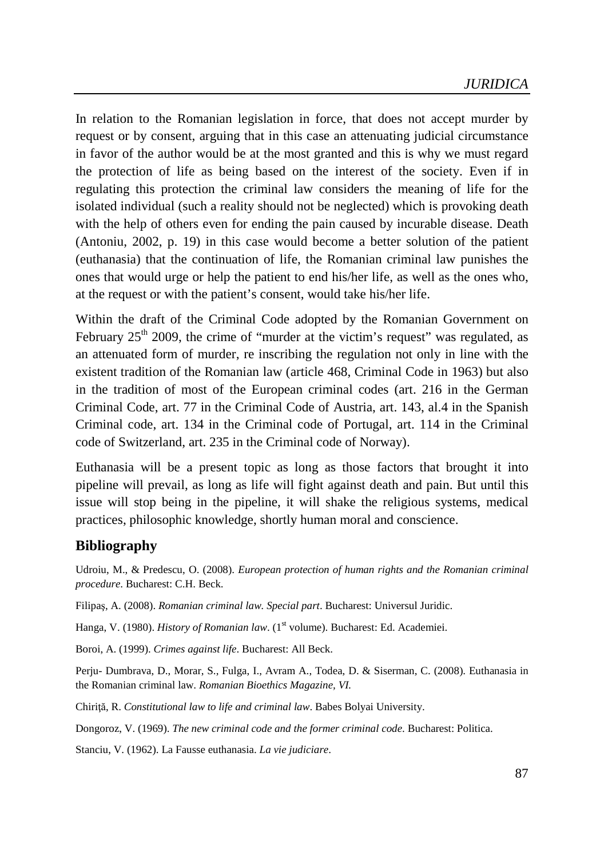In relation to the Romanian legislation in force, that does not accept murder by request or by consent, arguing that in this case an attenuating judicial circumstance in favor of the author would be at the most granted and this is why we must regard the protection of life as being based on the interest of the society. Even if in regulating this protection the criminal law considers the meaning of life for the isolated individual (such a reality should not be neglected) which is provoking death with the help of others even for ending the pain caused by incurable disease. Death (Antoniu, 2002, p. 19) in this case would become a better solution of the patient (euthanasia) that the continuation of life, the Romanian criminal law punishes the ones that would urge or help the patient to end his/her life, as well as the ones who, at the request or with the patient's consent, would take his/her life.

Within the draft of the Criminal Code adopted by the Romanian Government on February  $25<sup>th</sup>$  2009, the crime of "murder at the victim's request" was regulated, as an attenuated form of murder, re inscribing the regulation not only in line with the existent tradition of the Romanian law (article 468, Criminal Code in 1963) but also in the tradition of most of the European criminal codes (art. 216 in the German Criminal Code, art. 77 in the Criminal Code of Austria, art. 143, al.4 in the Spanish Criminal code, art. 134 in the Criminal code of Portugal, art. 114 in the Criminal code of Switzerland, art. 235 in the Criminal code of Norway).

Euthanasia will be a present topic as long as those factors that brought it into pipeline will prevail, as long as life will fight against death and pain. But until this issue will stop being in the pipeline, it will shake the religious systems, medical practices, philosophic knowledge, shortly human moral and conscience.

### **Bibliography**

Udroiu, M., & Predescu, O. (2008). *European protection of human rights and the Romanian criminal procedure*. Bucharest: C.H. Beck.

Filipaş, A. (2008). *Romanian criminal law. Special part*. Bucharest: Universul Juridic.

Hanga, V. (1980). *History of Romanian law*. (1<sup>st</sup> volume). Bucharest: Ed. Academiei.

Boroi, A. (1999). *Crimes against life*. Bucharest: All Beck.

Perju- Dumbrava, D., Morar, S., Fulga, I., Avram A., Todea, D. & Siserman, C. (2008). Euthanasia in the Romanian criminal law. *Romanian Bioethics Magazine, VI.*

Chiriţă, R. *Constitutional law to life and criminal law*. Babes Bolyai University.

Dongoroz, V. (1969). *The new criminal code and the former criminal code*. Bucharest: Politica.

Stanciu, V. (1962). La Fausse euthanasia. *La vie judiciare*.